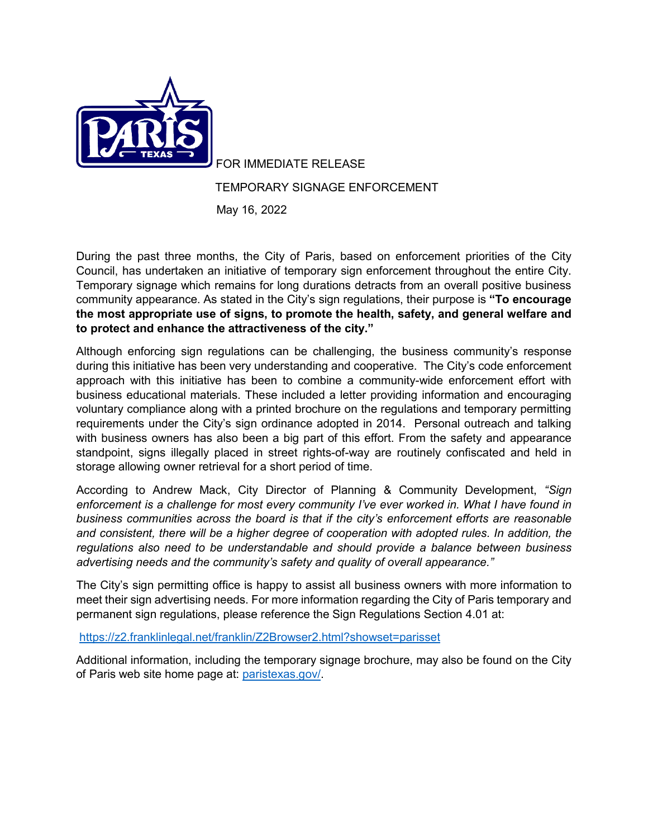

FOR IMMEDIATE RELEASE

## TEMPORARY SIGNAGE ENFORCEMENT

May 16, 2022

During the past three months, the City of Paris, based on enforcement priorities of the City Council, has undertaken an initiative of temporary sign enforcement throughout the entire City. Temporary signage which remains for long durations detracts from an overall positive business community appearance. As stated in the City's sign regulations, their purpose is **"To encourage the most appropriate use of signs, to promote the health, safety, and general welfare and to protect and enhance the attractiveness of the city."**

Although enforcing sign regulations can be challenging, the business community's response during this initiative has been very understanding and cooperative. The City's code enforcement approach with this initiative has been to combine a community-wide enforcement effort with business educational materials. These included a letter providing information and encouraging voluntary compliance along with a printed brochure on the regulations and temporary permitting requirements under the City's sign ordinance adopted in 2014. Personal outreach and talking with business owners has also been a big part of this effort. From the safety and appearance standpoint, signs illegally placed in street rights-of-way are routinely confiscated and held in storage allowing owner retrieval for a short period of time.

According to Andrew Mack, City Director of Planning & Community Development, *"Sign enforcement is a challenge for most every community I've ever worked in. What I have found in business communities across the board is that if the city's enforcement efforts are reasonable and consistent, there will be a higher degree of cooperation with adopted rules. In addition, the regulations also need to be understandable and should provide a balance between business advertising needs and the community's safety and quality of overall appearance."*

The City's sign permitting office is happy to assist all business owners with more information to meet their sign advertising needs. For more information regarding the City of Paris temporary and permanent sign regulations, please reference the Sign Regulations Section 4.01 at:

<https://z2.franklinlegal.net/franklin/Z2Browser2.html?showset=parisset>

Additional information, including the temporary signage brochure, may also be found on the City of Paris web site home page at: [paristexas.gov/.](https://www.paristexas.gov/)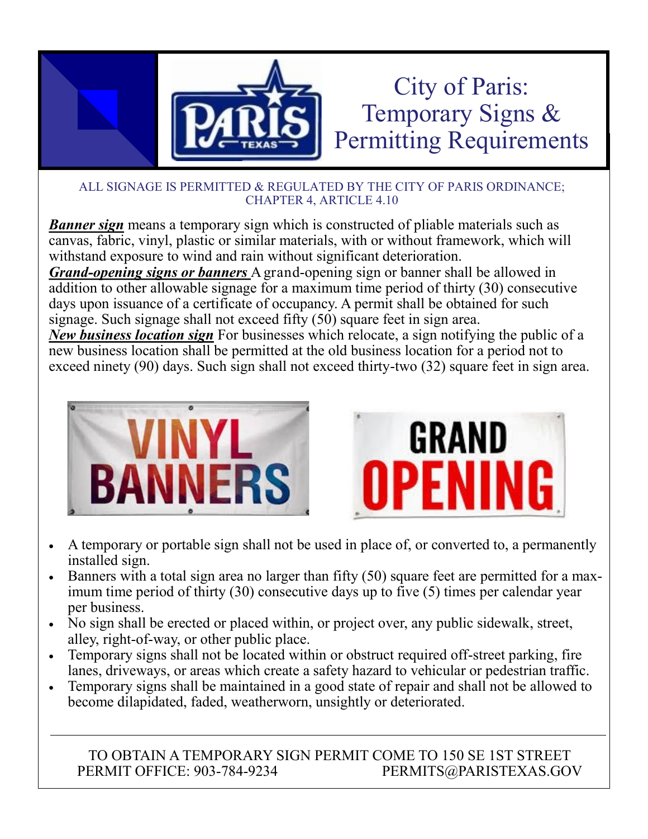

*Banner sign* means a temporary sign which is constructed of pliable materials such as canvas, fabric, vinyl, plastic or similar materials, with or without framework, which will withstand exposure to wind and rain without significant deterioration.

*Grand-opening signs or banners* A grand-opening sign or banner shall be allowed in addition to other allowable signage for a maximum time period of thirty (30) consecutive days upon issuance of a certificate of occupancy. A permit shall be obtained for such signage. Such signage shall not exceed fifty (50) square feet in sign area.

*New business location sign* For businesses which relocate, a sign notifying the public of a new business location shall be permitted at the old business location for a period not to exceed ninety (90) days. Such sign shall not exceed thirty-two (32) square feet in sign area.





- A temporary or portable sign shall not be used in place of, or converted to, a permanently installed sign.
- Banners with a total sign area no larger than fifty (50) square feet are permitted for a maximum time period of thirty (30) consecutive days up to five (5) times per calendar year per business.
- No sign shall be erected or placed within, or project over, any public sidewalk, street, alley, right-of-way, or other public place.
- Temporary signs shall not be located within or obstruct required off-street parking, fire lanes, driveways, or areas which create a safety hazard to vehicular or pedestrian traffic.
- Temporary signs shall be maintained in a good state of repair and shall not be allowed to become dilapidated, faded, weatherworn, unsightly or deteriorated.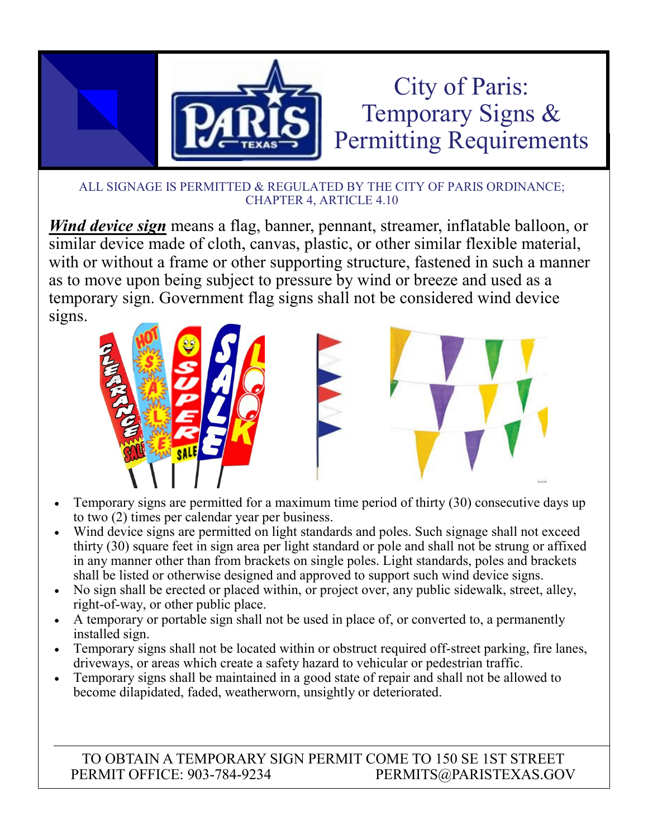

*Wind device sign* means a flag, banner, pennant, streamer, inflatable balloon, or similar device made of cloth, canvas, plastic, or other similar flexible material, with or without a frame or other supporting structure, fastened in such a manner as to move upon being subject to pressure by wind or breeze and used as a temporary sign. Government flag signs shall not be considered wind device signs.



- Temporary signs are permitted for a maximum time period of thirty (30) consecutive days up to two (2) times per calendar year per business.
- Wind device signs are permitted on light standards and poles. Such signage shall not exceed thirty (30) square feet in sign area per light standard or pole and shall not be strung or affixed in any manner other than from brackets on single poles. Light standards, poles and brackets shall be listed or otherwise designed and approved to support such wind device signs.
- No sign shall be erected or placed within, or project over, any public sidewalk, street, alley, right-of-way, or other public place.
- A temporary or portable sign shall not be used in place of, or converted to, a permanently installed sign.
- Temporary signs shall not be located within or obstruct required off-street parking, fire lanes, driveways, or areas which create a safety hazard to vehicular or pedestrian traffic.
- Temporary signs shall be maintained in a good state of repair and shall not be allowed to become dilapidated, faded, weatherworn, unsightly or deteriorated.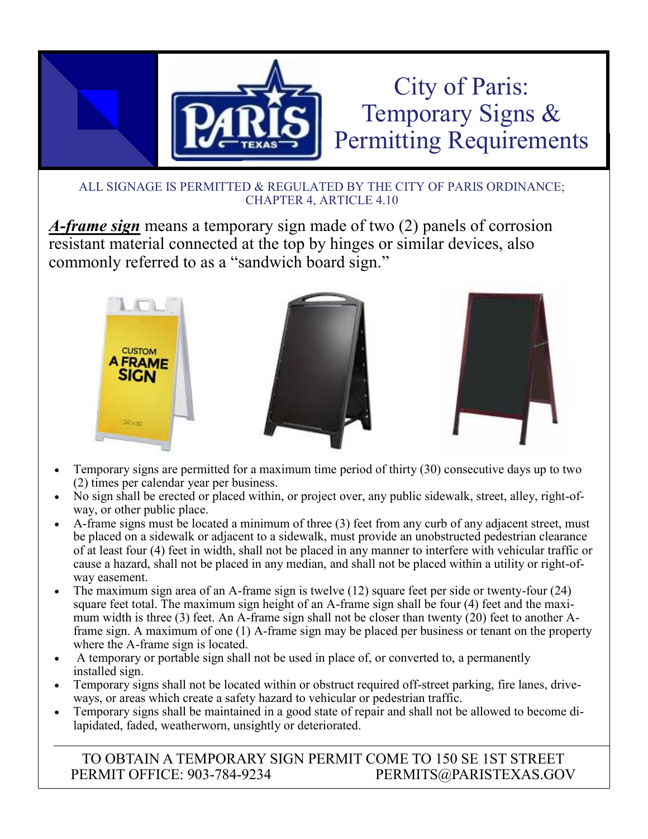

*A-frame sign* means a temporary sign made of two (2) panels of corrosion resistant material connected at the top by hinges or similar devices, also commonly referred to as a "sandwich board sign."



- Temporary signs are permitted for a maximum time period of thirty (30) consecutive days up to two (2) times per calendar year per business.
- No sign shall be erected or placed within, or project over, any public sidewalk, street, alley, right-ofway, or other public place.
- A-frame signs must be located a minimum of three (3) feet from any curb of any adjacent street, must be placed on a sidewalk or adjacent to a sidewalk, must provide an unobstructed pedestrian clearance of at least four (4) feet in width, shall not be placed in any manner to interfere with vehicular traffic or cause a hazard, shall not be placed in any median, and shall not be placed within a utility or right-ofway easement.
- The maximum sign area of an A-frame sign is twelve (12) square feet per side or twenty-four (24) square feet total. The maximum sign height of an A-frame sign shall be four (4) feet and the maximum width is three (3) feet. An A-frame sign shall not be closer than twenty (20) feet to another Aframe sign. A maximum of one (1) A-frame sign may be placed per business or tenant on the property where the A-frame sign is located.
- A temporary or portable sign shall not be used in place of, or converted to, a permanently installed sign.
- Temporary signs shall not be located within or obstruct required off-street parking, fire lanes, driveways, or areas which create a safety hazard to vehicular or pedestrian traffic.
- Temporary signs shall be maintained in a good state of repair and shall not be allowed to become dilapidated, faded, weatherworn, unsightly or deteriorated.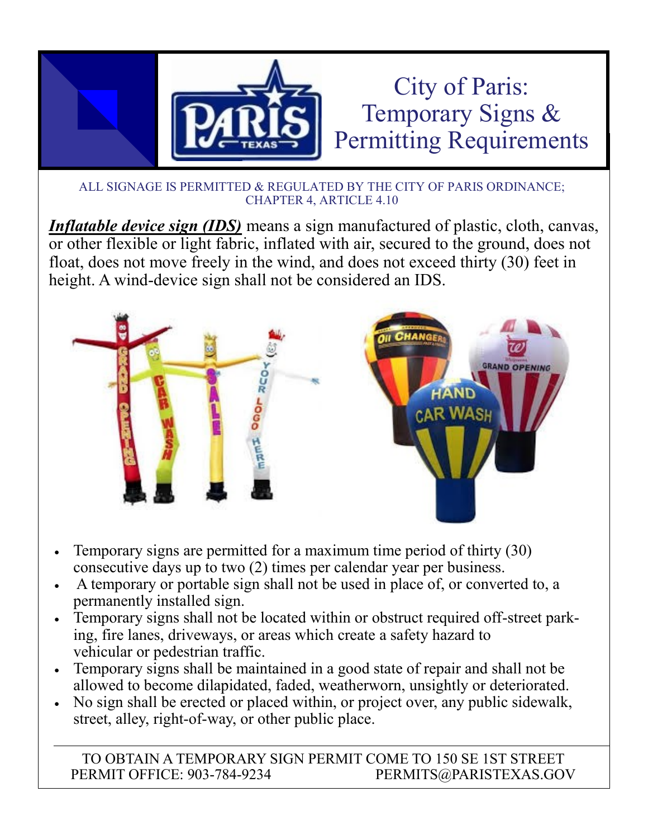

*Inflatable device sign (IDS)* means a sign manufactured of plastic, cloth, canvas, or other flexible or light fabric, inflated with air, secured to the ground, does not float, does not move freely in the wind, and does not exceed thirty (30) feet in height. A wind-device sign shall not be considered an IDS.



- Temporary signs are permitted for a maximum time period of thirty (30) consecutive days up to two (2) times per calendar year per business.
- A temporary or portable sign shall not be used in place of, or converted to, a permanently installed sign.
- Temporary signs shall not be located within or obstruct required off-street parking, fire lanes, driveways, or areas which create a safety hazard to vehicular or pedestrian traffic.
- Temporary signs shall be maintained in a good state of repair and shall not be allowed to become dilapidated, faded, weatherworn, unsightly or deteriorated.
- No sign shall be erected or placed within, or project over, any public sidewalk, street, alley, right-of-way, or other public place.